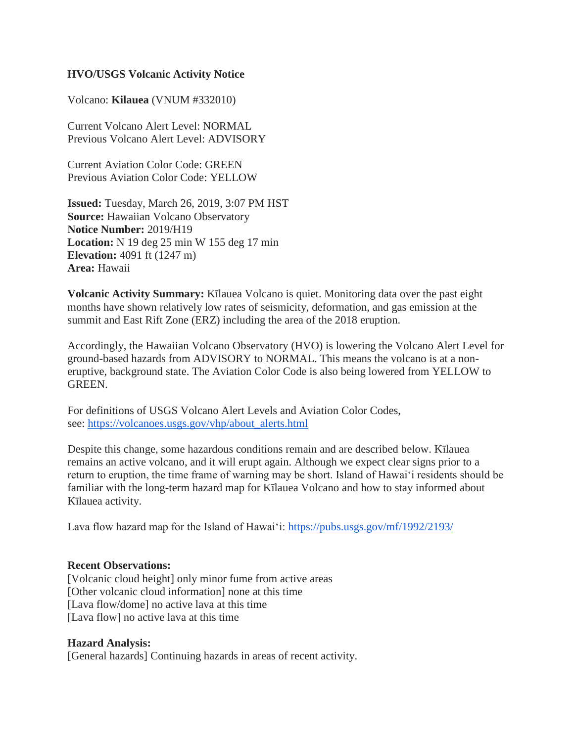### **HVO/USGS Volcanic Activity Notice**

Volcano: **Kilauea** (VNUM #332010)

Current Volcano Alert Level: NORMAL Previous Volcano Alert Level: ADVISORY

Current Aviation Color Code: GREEN Previous Aviation Color Code: YELLOW

**Issued:** Tuesday, March 26, 2019, 3:07 PM HST **Source:** Hawaiian Volcano Observatory **Notice Number:** 2019/H19 **Location:** N 19 deg 25 min W 155 deg 17 min **Elevation:** 4091 ft (1247 m) **Area:** Hawaii

**Volcanic Activity Summary:** Kīlauea Volcano is quiet. Monitoring data over the past eight months have shown relatively low rates of seismicity, deformation, and gas emission at the summit and East Rift Zone (ERZ) including the area of the 2018 eruption.

Accordingly, the Hawaiian Volcano Observatory (HVO) is lowering the Volcano Alert Level for ground-based hazards from ADVISORY to NORMAL. This means the volcano is at a noneruptive, background state. The Aviation Color Code is also being lowered from YELLOW to GREEN.

For definitions of USGS Volcano Alert Levels and Aviation Color Codes, see: [https://volcanoes.usgs.gov/vhp/about\\_alerts.html](https://volcanoes.usgs.gov/vhp/about_alerts.html)

Despite this change, some hazardous conditions remain and are described below. Kīlauea remains an active volcano, and it will erupt again. Although we expect clear signs prior to a return to eruption, the time frame of warning may be short. Island of Hawaiʻi residents should be familiar with the long-term hazard map for Kīlauea Volcano and how to stay informed about Kīlauea activity.

Lava flow hazard map for the Island of Hawaiʻi: <https://pubs.usgs.gov/mf/1992/2193/>

#### **Recent Observations:**

[Volcanic cloud height] only minor fume from active areas [Other volcanic cloud information] none at this time [Lava flow/dome] no active lava at this time [Lava flow] no active lava at this time

#### **Hazard Analysis:**

[General hazards] Continuing hazards in areas of recent activity.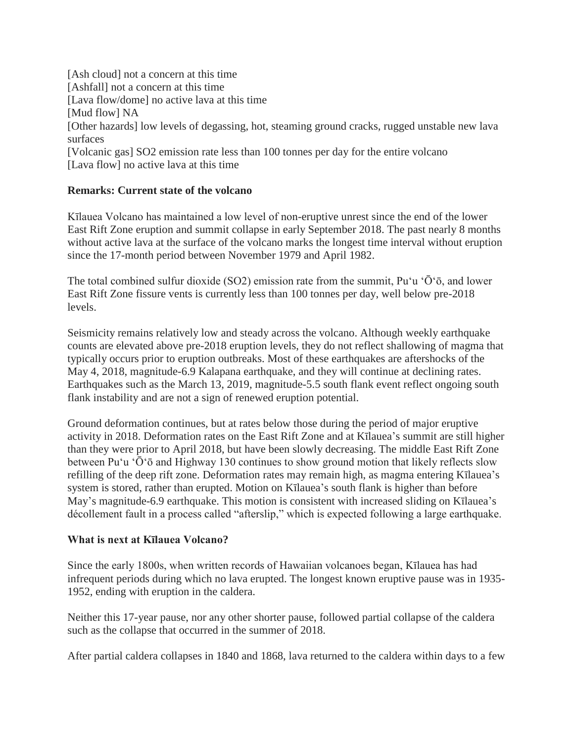[Ash cloud] not a concern at this time [Ashfall] not a concern at this time [Lava flow/dome] no active lava at this time [Mud flow] NA [Other hazards] low levels of degassing, hot, steaming ground cracks, rugged unstable new lava surfaces [Volcanic gas] SO2 emission rate less than 100 tonnes per day for the entire volcano [Lava flow] no active lava at this time

## **Remarks: Current state of the volcano**

Kīlauea Volcano has maintained a low level of non-eruptive unrest since the end of the lower East Rift Zone eruption and summit collapse in early September 2018. The past nearly 8 months without active lava at the surface of the volcano marks the longest time interval without eruption since the 17-month period between November 1979 and April 1982.

The total combined sulfur dioxide (SO2) emission rate from the summit, Pu'u ' $\bar{O}$ ' $\bar{O}$ , and lower East Rift Zone fissure vents is currently less than 100 tonnes per day, well below pre-2018 levels.

Seismicity remains relatively low and steady across the volcano. Although weekly earthquake counts are elevated above pre-2018 eruption levels, they do not reflect shallowing of magma that typically occurs prior to eruption outbreaks. Most of these earthquakes are aftershocks of the May 4, 2018, magnitude-6.9 Kalapana earthquake, and they will continue at declining rates. Earthquakes such as the March 13, 2019, magnitude-5.5 south flank event reflect ongoing south flank instability and are not a sign of renewed eruption potential.

Ground deformation continues, but at rates below those during the period of major eruptive activity in 2018. Deformation rates on the East Rift Zone and at Kīlauea's summit are still higher than they were prior to April 2018, but have been slowly decreasing. The middle East Rift Zone between Pu'u ' $\bar{O}$ ' $\bar{O}$  and Highway 130 continues to show ground motion that likely reflects slow refilling of the deep rift zone. Deformation rates may remain high, as magma entering Kīlauea's system is stored, rather than erupted. Motion on Kīlauea's south flank is higher than before May's magnitude-6.9 earthquake. This motion is consistent with increased sliding on Kīlauea's décollement fault in a process called "afterslip," which is expected following a large earthquake.

# **What is next at Kīlauea Volcano?**

Since the early 1800s, when written records of Hawaiian volcanoes began, Kīlauea has had infrequent periods during which no lava erupted. The longest known eruptive pause was in 1935- 1952, ending with eruption in the caldera.

Neither this 17-year pause, nor any other shorter pause, followed partial collapse of the caldera such as the collapse that occurred in the summer of 2018.

After partial caldera collapses in 1840 and 1868, lava returned to the caldera within days to a few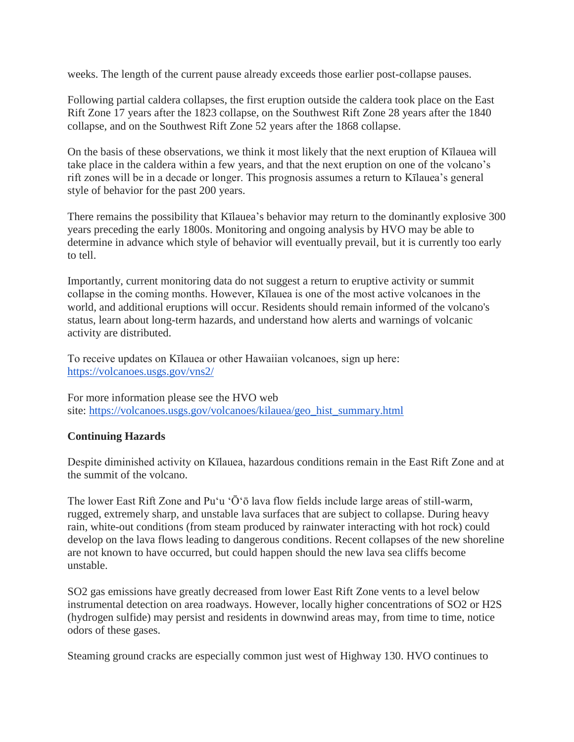weeks. The length of the current pause already exceeds those earlier post-collapse pauses.

Following partial caldera collapses, the first eruption outside the caldera took place on the East Rift Zone 17 years after the 1823 collapse, on the Southwest Rift Zone 28 years after the 1840 collapse, and on the Southwest Rift Zone 52 years after the 1868 collapse.

On the basis of these observations, we think it most likely that the next eruption of Kīlauea will take place in the caldera within a few years, and that the next eruption on one of the volcano's rift zones will be in a decade or longer. This prognosis assumes a return to Kīlauea's general style of behavior for the past 200 years.

There remains the possibility that Kīlauea's behavior may return to the dominantly explosive 300 years preceding the early 1800s. Monitoring and ongoing analysis by HVO may be able to determine in advance which style of behavior will eventually prevail, but it is currently too early to tell.

Importantly, current monitoring data do not suggest a return to eruptive activity or summit collapse in the coming months. However, Kīlauea is one of the most active volcanoes in the world, and additional eruptions will occur. Residents should remain informed of the volcano's status, learn about long-term hazards, and understand how alerts and warnings of volcanic activity are distributed.

To receive updates on Kīlauea or other Hawaiian volcanoes, sign up here: <https://volcanoes.usgs.gov/vns2/>

For more information please see the HVO web site: [https://volcanoes.usgs.gov/volcanoes/kilauea/geo\\_hist\\_summary.html](https://volcanoes.usgs.gov/volcanoes/kilauea/geo_hist_summary.html)

# **Continuing Hazards**

Despite diminished activity on Kīlauea, hazardous conditions remain in the East Rift Zone and at the summit of the volcano.

The lower East Rift Zone and Pu'u ' $\bar{O}$ ' $\bar{O}$  lava flow fields include large areas of still-warm, rugged, extremely sharp, and unstable lava surfaces that are subject to collapse. During heavy rain, white-out conditions (from steam produced by rainwater interacting with hot rock) could develop on the lava flows leading to dangerous conditions. Recent collapses of the new shoreline are not known to have occurred, but could happen should the new lava sea cliffs become unstable.

SO2 gas emissions have greatly decreased from lower East Rift Zone vents to a level below instrumental detection on area roadways. However, locally higher concentrations of SO2 or H2S (hydrogen sulfide) may persist and residents in downwind areas may, from time to time, notice odors of these gases.

Steaming ground cracks are especially common just west of Highway 130. HVO continues to